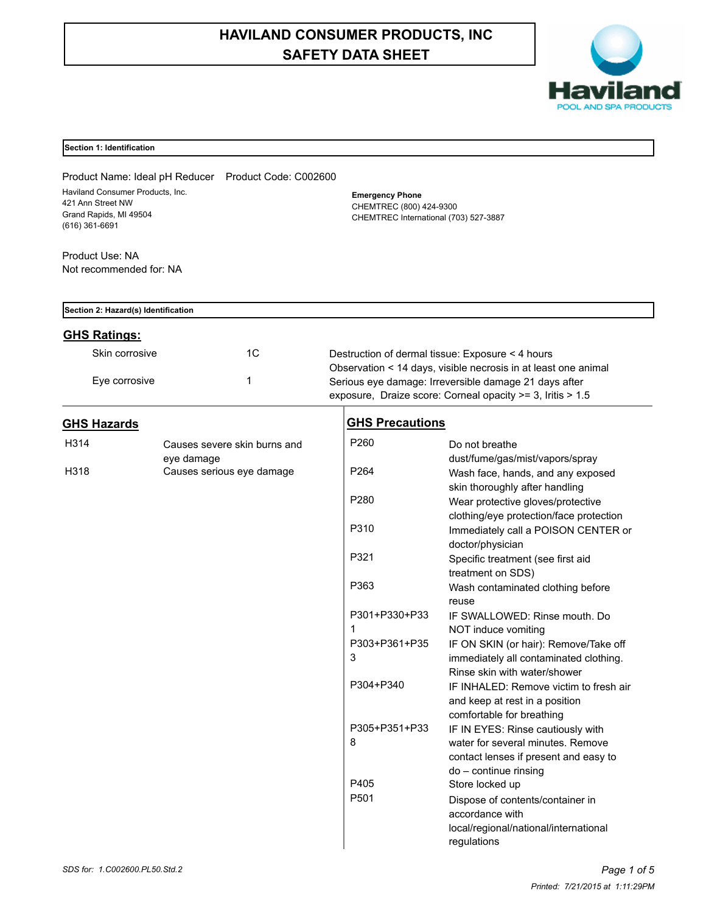# **HAVILAND CONSUMER PRODUCTS, INC SAFETY DATA SHEET**



# **Section 1: Identification**

Product Name: Ideal pH Reducer Product Code: C002600 Haviland Consumer Products, Inc. 421 Ann Street NW Grand Rapids, MI 49504 (616) 361-6691

Product Use: NA Not recommended for: NA **Emergency Phone** CHEMTREC (800) 424-9300 CHEMTREC International (703) 527-3887

| Section 2: Hazard(s) Identification |    |                                                                |
|-------------------------------------|----|----------------------------------------------------------------|
| <b>GHS Ratings:</b>                 |    |                                                                |
| Skin corrosive                      | 1C | Destruction of dermal tissue: Exposure < 4 hours               |
|                                     |    | Observation < 14 days, visible necrosis in at least one animal |
| Eye corrosive                       |    | Serious eye damage: Irreversible damage 21 days after          |
|                                     |    | exposure, Draize score: Corneal opacity >= 3, Iritis > 1.5     |

# **GHS Hazards**

| H314 | Causes severe skin burns and |
|------|------------------------------|
|      | eye damage                   |
| H318 | Causes serious eye damage    |

# **GHS Precautions**

| P260             | Do not breathe                                          |
|------------------|---------------------------------------------------------|
|                  | dust/fume/gas/mist/vapors/spray                         |
| P264             | Wash face, hands, and any exposed                       |
|                  | skin thoroughly after handling                          |
| P <sub>280</sub> | Wear protective gloves/protective                       |
| P310             | clothing/eye protection/face protection                 |
|                  | Immediately call a POISON CENTER or<br>doctor/physician |
| P321             | Specific treatment (see first aid                       |
|                  | treatment on SDS)                                       |
| P363             | Wash contaminated clothing before                       |
|                  | reuse                                                   |
| P301+P330+P33    | IF SWALLOWED: Rinse mouth, Do                           |
| 1                | NOT induce vomiting                                     |
| P303+P361+P35    | IF ON SKIN (or hair): Remove/Take off                   |
| 3                | immediately all contaminated clothing.                  |
|                  | Rinse skin with water/shower                            |
| P304+P340        | IF INHALED: Remove victim to fresh air                  |
|                  | and keep at rest in a position                          |
|                  | comfortable for breathing                               |
| P305+P351+P33    | IF IN EYES: Rinse cautiously with                       |
| 8                | water for several minutes. Remove                       |
|                  | contact lenses if present and easy to                   |
|                  | do - continue rinsing                                   |
| P405             | Store locked up                                         |
| P <sub>501</sub> | Dispose of contents/container in                        |
|                  | accordance with                                         |
|                  | local/regional/national/international                   |
|                  | regulations                                             |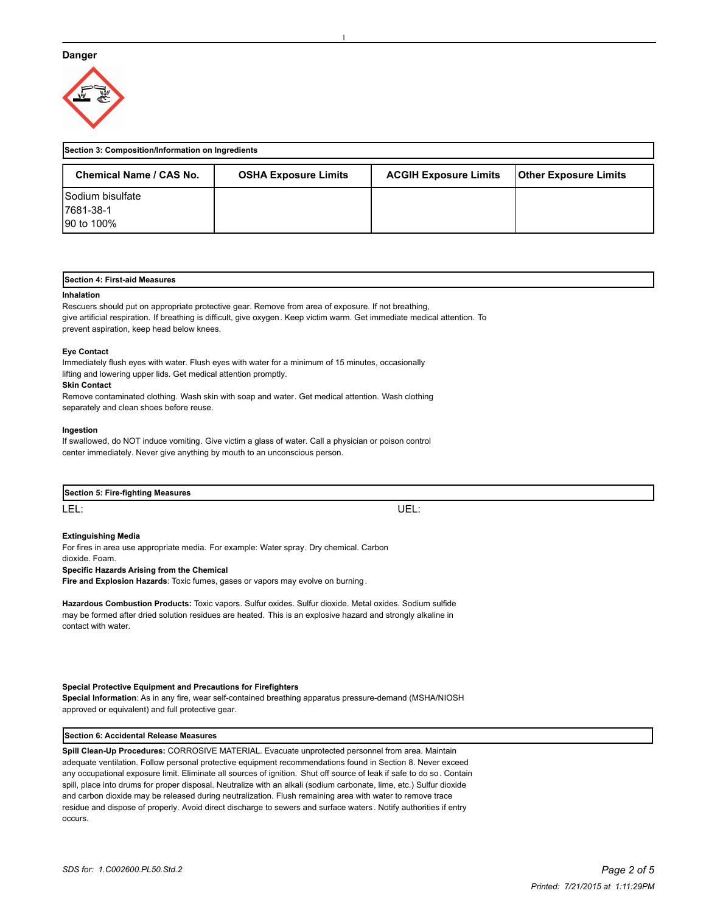## **Danger**



| Section 3: Composition/Information on Ingredients |                             |                              |                              |
|---------------------------------------------------|-----------------------------|------------------------------|------------------------------|
| Chemical Name / CAS No.                           | <b>OSHA Exposure Limits</b> | <b>ACGIH Exposure Limits</b> | <b>Other Exposure Limits</b> |
| <b>Sodium bisulfate</b>                           |                             |                              |                              |
| 17681-38-1                                        |                             |                              |                              |
| 190 to 100%                                       |                             |                              |                              |

## **Section 4: First-aid Measures**

#### **Inhalation**

Rescuers should put on appropriate protective gear. Remove from area of exposure. If not breathing, give artificial respiration. If breathing is difficult, give oxygen. Keep victim warm. Get immediate medical attention. To prevent aspiration, keep head below knees.

#### **Eye Contact**

Immediately flush eyes with water. Flush eyes with water for a minimum of 15 minutes, occasionally lifting and lowering upper lids. Get medical attention promptly.

### **Skin Contact**

Remove contaminated clothing. Wash skin with soap and water. Get medical attention. Wash clothing separately and clean shoes before reuse.

#### **Ingestion**

If swallowed, do NOT induce vomiting. Give victim a glass of water. Call a physician or poison control center immediately. Never give anything by mouth to an unconscious person.

| Section 5: Fire-fighting Measures |           |  |
|-----------------------------------|-----------|--|
| LEL:                              | IЕ<br>--- |  |

# **Extinguishing Media**

For fires in area use appropriate media. For example: Water spray. Dry chemical. Carbon dioxide. Foam. **Specific Hazards Arising from the Chemical**

**Fire and Explosion Hazards**: Toxic fumes, gases or vapors may evolve on burning.

**Hazardous Combustion Products:** Toxic vapors. Sulfur oxides. Sulfur dioxide. Metal oxides. Sodium sulfide may be formed after dried solution residues are heated. This is an explosive hazard and strongly alkaline in contact with water.

#### **Special Protective Equipment and Precautions for Firefighters**

**Special Information**: As in any fire, wear self-contained breathing apparatus pressure-demand (MSHA/NIOSH approved or equivalent) and full protective gear.

#### **Section 6: Accidental Release Measures**

**Spill Clean-Up Procedures:** CORROSIVE MATERIAL. Evacuate unprotected personnel from area. Maintain adequate ventilation. Follow personal protective equipment recommendations found in Section 8. Never exceed any occupational exposure limit. Eliminate all sources of ignition. Shut off source of leak if safe to do so. Contain spill, place into drums for proper disposal. Neutralize with an alkali (sodium carbonate, lime, etc.) Sulfur dioxide and carbon dioxide may be released during neutralization. Flush remaining area with water to remove trace residue and dispose of properly. Avoid direct discharge to sewers and surface waters . Notify authorities if entry occurs.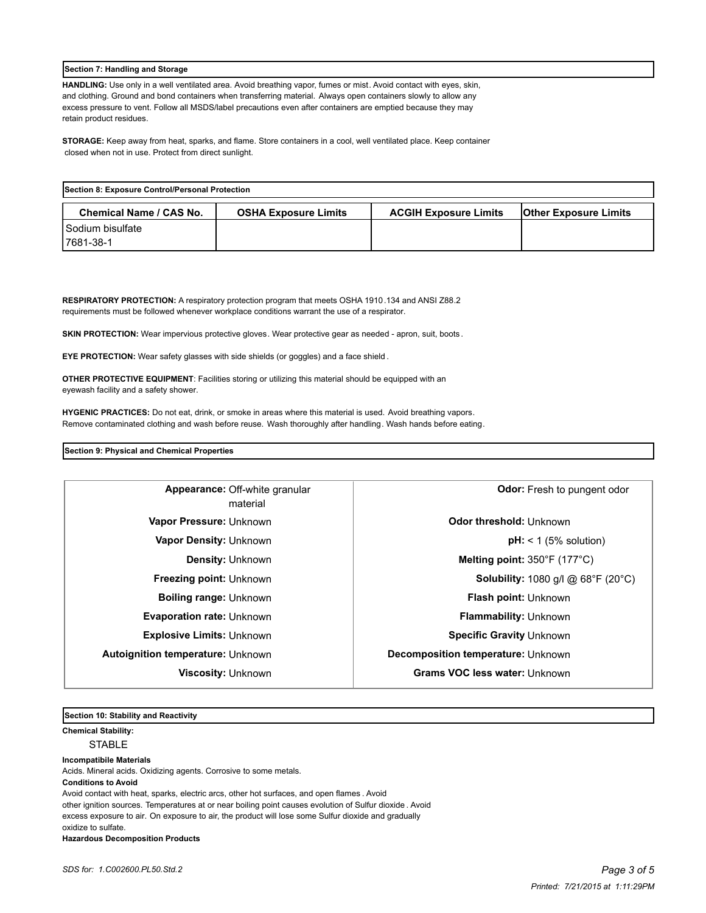## **Section 7: Handling and Storage**

**HANDLING:** Use only in a well ventilated area. Avoid breathing vapor, fumes or mist. Avoid contact with eyes, skin, and clothing. Ground and bond containers when transferring material. Always open containers slowly to allow any excess pressure to vent. Follow all MSDS/label precautions even after containers are emptied because they may retain product residues.

**STORAGE:** Keep away from heat, sparks, and flame. Store containers in a cool, well ventilated place. Keep container closed when not in use. Protect from direct sunlight.

| Section 8: Exposure Control/Personal Protection |                             |                              |                              |
|-------------------------------------------------|-----------------------------|------------------------------|------------------------------|
| <b>Chemical Name / CAS No.</b>                  | <b>OSHA Exposure Limits</b> | <b>ACGIH Exposure Limits</b> | <b>Other Exposure Limits</b> |
| I Sodium bisulfate                              |                             |                              |                              |
| 17681-38-1                                      |                             |                              |                              |

**RESPIRATORY PROTECTION:** A respiratory protection program that meets OSHA 1910.134 and ANSI Z88.2 requirements must be followed whenever workplace conditions warrant the use of a respirator.

**SKIN PROTECTION:** Wear impervious protective gloves. Wear protective gear as needed - apron, suit, boots.

**EYE PROTECTION:** Wear safety glasses with side shields (or goggles) and a face shield .

**OTHER PROTECTIVE EQUIPMENT**: Facilities storing or utilizing this material should be equipped with an eyewash facility and a safety shower.

**HYGENIC PRACTICES:** Do not eat, drink, or smoke in areas where this material is used. Avoid breathing vapors. Remove contaminated clothing and wash before reuse. Wash thoroughly after handling. Wash hands before eating.

# **Section 9: Physical and Chemical Properties**

| Appearance: Off-white granular<br>material | Odor: Fresh to pungent odor                                   |
|--------------------------------------------|---------------------------------------------------------------|
| Vapor Pressure: Unknown                    | Odor threshold: Unknown                                       |
| <b>Vapor Density: Unknown</b>              | $pH:$ < 1 (5% solution)                                       |
| <b>Density: Unknown</b>                    | Melting point: 350°F (177°C)                                  |
| <b>Freezing point: Unknown</b>             | <b>Solubility:</b> 1080 g/l @ $68^{\circ}F$ (20 $^{\circ}C$ ) |
| <b>Boiling range: Unknown</b>              | Flash point: Unknown                                          |
| <b>Evaporation rate: Unknown</b>           | <b>Flammability: Unknown</b>                                  |
| <b>Explosive Limits: Unknown</b>           | Specific Gravity Unknown                                      |
| <b>Autoignition temperature: Unknown</b>   | Decomposition temperature: Unknown                            |
| <b>Viscosity: Unknown</b>                  | Grams VOC less water: Unknown                                 |

**Section 10: Stability and Reactivity** 

**Chemical Stability:** STABLE

**Incompatibile Materials** 

Acids. Mineral acids. Oxidizing agents. Corrosive to some metals.

**Conditions to Avoid**

Avoid contact with heat, sparks, electric arcs, other hot surfaces, and open flames . Avoid other ignition sources. Temperatures at or near boiling point causes evolution of Sulfur dioxide . Avoid excess exposure to air. On exposure to air, the product will lose some Sulfur dioxide and gradually oxidize to sulfate. **Hazardous Decomposition Products**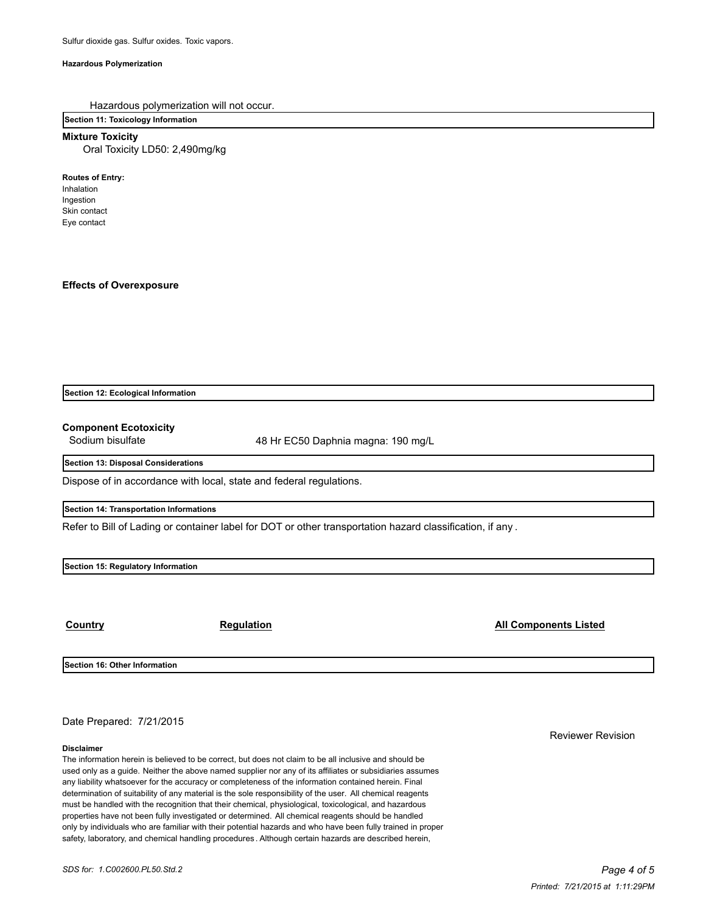## **Hazardous Polymerization**

Hazardous polymerization will not occur.

**Section 11: Toxicology Information**

**Mixture Toxicity**

Oral Toxicity LD50: 2,490mg/kg

**Routes of Entry:**

Inhalation Ingestion Skin contact Eye contact

**Effects of Overexposure**

**Section 12: Ecological Information**

**Component Ecotoxicity**

Sodium bisulfate 48 Hr EC50 Daphnia magna: 190 mg/L

**Section 13: Disposal Considerations**

Dispose of in accordance with local, state and federal regulations.

**Section 14: Transportation Informations**

Refer to Bill of Lading or container label for DOT or other transportation hazard classification, if any .

**Section 15: Regulatory Information**

**Country Country Regulation Regulation Regulation All Components Listed** 

**Section 16: Other Information**

Date Prepared: 7/21/2015

#### **Disclaimer**

The information herein is believed to be correct, but does not claim to be all inclusive and should be used only as a guide. Neither the above named supplier nor any of its affiliates or subsidiaries assumes any liability whatsoever for the accuracy or completeness of the information contained herein. Final determination of suitability of any material is the sole responsibility of the user. All chemical reagents must be handled with the recognition that their chemical, physiological, toxicological, and hazardous properties have not been fully investigated or determined. All chemical reagents should be handled only by individuals who are familiar with their potential hazards and who have been fully trained in proper safety, laboratory, and chemical handling procedures . Although certain hazards are described herein,

Reviewer Revision